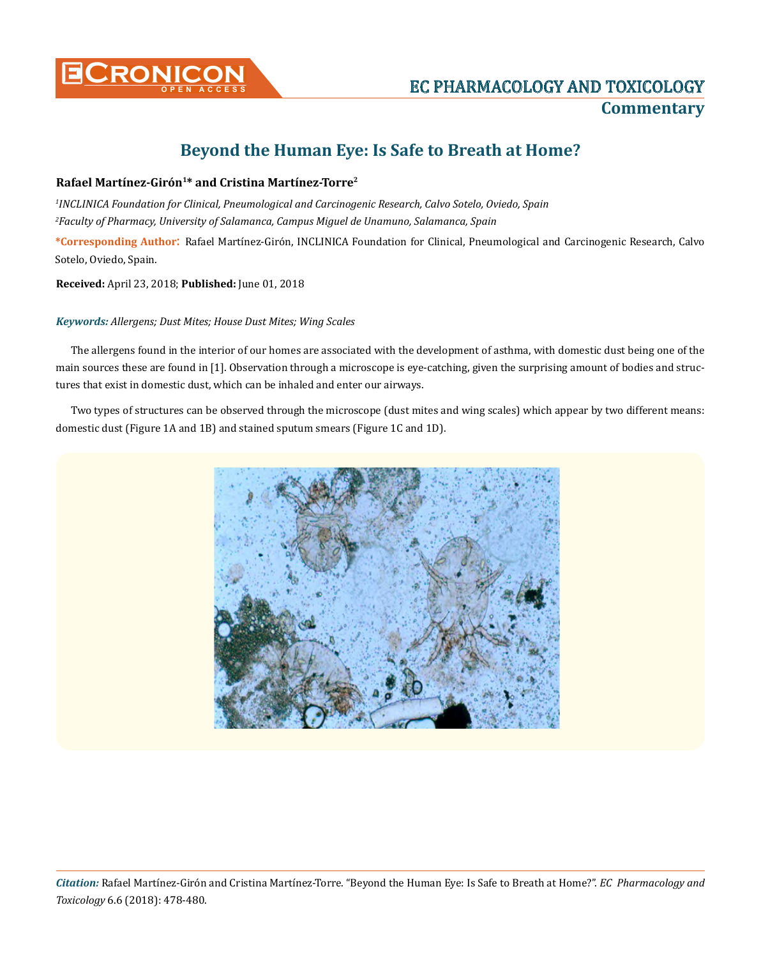

## **Beyond the Human Eye: Is Safe to Breath at Home?**

## **Rafael Martínez-Girón1\* and Cristina Martínez-Torre2**

*1 INCLINICA Foundation for Clinical, Pneumological and Carcinogenic Research, Calvo Sotelo, Oviedo, Spain 2 Faculty of Pharmacy, University of Salamanca, Campus Miguel de Unamuno, Salamanca, Spain*

**\*Corresponding Author**: Rafael Martínez-Girón, INCLINICA Foundation for Clinical, Pneumological and Carcinogenic Research, Calvo Sotelo, Oviedo, Spain.

**Received:** April 23, 2018; **Published:** June 01, 2018

## *Keywords: Allergens; Dust Mites; House Dust Mites; Wing Scales*

The allergens found in the interior of our homes are associated with the development of asthma, with domestic dust being one of the main sources these are found in [1]. Observation through a microscope is eye-catching, given the surprising amount of bodies and structures that exist in domestic dust, which can be inhaled and enter our airways.

Two types of structures can be observed through the microscope (dust mites and wing scales) which appear by two different means: domestic dust (Figure 1A and 1B) and stained sputum smears (Figure 1C and 1D).



*Citation:* Rafael Martínez-Girón and Cristina Martínez-Torre. "Beyond the Human Eye: Is Safe to Breath at Home?". *EC Pharmacology and Toxicology* 6.6 (2018): 478-480.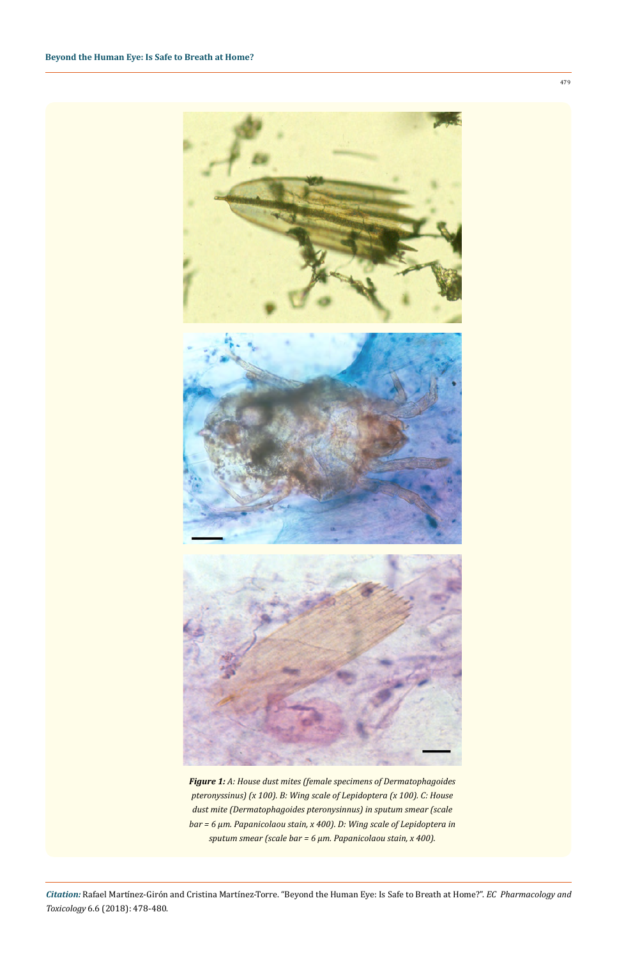



*Figure 1: A: House dust mites (female specimens of Dermatophagoides pteronyssinus) (x 100). B: Wing scale of Lepidoptera (x 100). C: House dust mite (Dermatophagoides pteronysinnus) in sputum smear (scale bar = 6 µm. Papanicolaou stain, x 400). D: Wing scale of Lepidoptera in sputum smear (scale bar = 6 µm. Papanicolaou stain, x 400).*